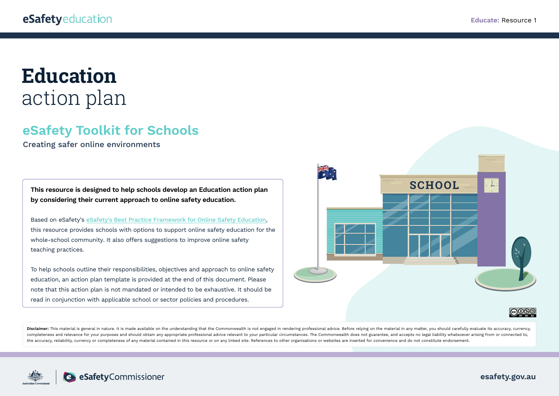## **Education** action plan

## **eSafety Toolkit for Schools**

Creating safer online environments

**This resource is designed to help schools develop an Education action plan by considering their current approach to online safety education.** 

Based on eSafety's [eSafety's Best Practice Framework for Online Safety Education](https://www.esafety.gov.au/educators/best-practice-framework), this resource provides schools with options to support online safety education for the whole-school community. It also offers suggestions to improve online safety teaching practices.

To help schools outline their responsibilities, objectives and approach to online safety education, an action plan template is provided at the end of this document. Please note that this action plan is not mandated or intended to be exhaustive. It should be read in conjunction with applicable school or sector policies and procedures.



Disclaimer: This material is general in nature. It is made available on the understanding that the Commonwealth is not engaged in rendering professional advice. Before relying on the material in any matter, you should care completeness and relevance for your purposes and should obtain any appropriate professional advice relevant to your particular circumstances. The Commonwealth does not guarantee, and accepts no legal liability whatsoever a the accuracy, reliability, currency or completeness of any material contained in this resource or on any linked site. References to other organisations or websites are inserted for convenience and do not constitute endorse

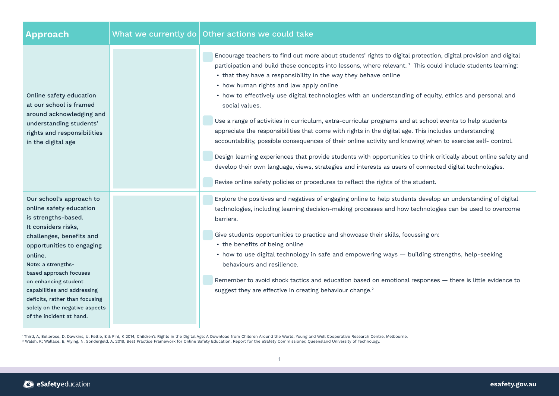| Approach                                                                                                                                                                                                                                                                                                                                                                     | What we currently do $\sqrt{ }$ Other actions we could take                                                                                                                                                                                                                                                                                                                                                                                                                                                                                                                                                                                                                                                                                                                                                                                                                                                                                                                                                                                                                                                                                 |
|------------------------------------------------------------------------------------------------------------------------------------------------------------------------------------------------------------------------------------------------------------------------------------------------------------------------------------------------------------------------------|---------------------------------------------------------------------------------------------------------------------------------------------------------------------------------------------------------------------------------------------------------------------------------------------------------------------------------------------------------------------------------------------------------------------------------------------------------------------------------------------------------------------------------------------------------------------------------------------------------------------------------------------------------------------------------------------------------------------------------------------------------------------------------------------------------------------------------------------------------------------------------------------------------------------------------------------------------------------------------------------------------------------------------------------------------------------------------------------------------------------------------------------|
| Online safety education<br>at our school is framed<br>around acknowledging and<br>understanding students'<br>rights and responsibilities<br>in the digital age                                                                                                                                                                                                               | Encourage teachers to find out more about students' rights to digital protection, digital provision and digital<br>participation and build these concepts into lessons, where relevant. <sup>1</sup> This could include students learning:<br>• that they have a responsibility in the way they behave online<br>• how human rights and law apply online<br>• how to effectively use digital technologies with an understanding of equity, ethics and personal and<br>social values.<br>Use a range of activities in curriculum, extra-curricular programs and at school events to help students<br>appreciate the responsibilities that come with rights in the digital age. This includes understanding<br>accountability, possible consequences of their online activity and knowing when to exercise self- control.<br>Design learning experiences that provide students with opportunities to think critically about online safety and<br>develop their own language, views, strategies and interests as users of connected digital technologies.<br>Revise online safety policies or procedures to reflect the rights of the student. |
| Our school's approach to<br>online safety education<br>is strengths-based.<br>It considers risks,<br>challenges, benefits and<br>opportunities to engaging<br>online.<br>Note: a strengths-<br>based approach focuses<br>on enhancing student<br>capabilities and addressing<br>deficits, rather than focusing<br>solely on the negative aspects<br>of the incident at hand. | Explore the positives and negatives of engaging online to help students develop an understanding of digital<br>technologies, including learning decision-making processes and how technologies can be used to overcome<br>barriers.<br>Give students opportunities to practice and showcase their skills, focussing on:<br>• the benefits of being online<br>• how to use digital technology in safe and empowering ways - building strengths, help-seeking<br>behaviours and resilience.<br>Remember to avoid shock tactics and education based on emotional responses - there is little evidence to<br>suggest they are effective in creating behaviour change. <sup>2</sup>                                                                                                                                                                                                                                                                                                                                                                                                                                                              |

'Third, A, Bellerose, D, Dawkins, U, Keltie, E & Pihl, K 2014, Children's Rights in the Digital Age: A Download from Children Around the World, Young and Well Cooperative Research Centre, Melbourne.<br><sup>2</sup> Walsh, K; Wallace,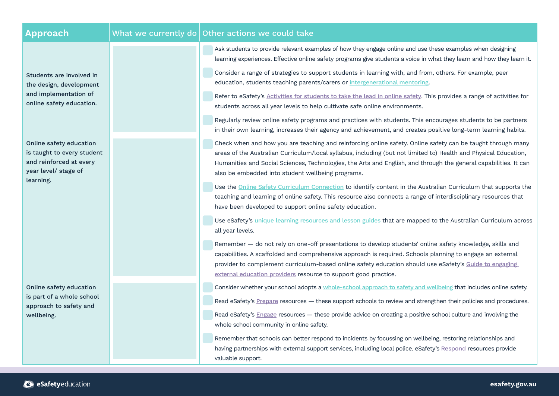| Approach                                                                                                 |  | What we currently do $\vert$ Other actions we could take                                                                                                                                                                                                                                                                                                                                                 |
|----------------------------------------------------------------------------------------------------------|--|----------------------------------------------------------------------------------------------------------------------------------------------------------------------------------------------------------------------------------------------------------------------------------------------------------------------------------------------------------------------------------------------------------|
| Students are involved in<br>the design, development<br>and implementation of<br>online safety education. |  | Ask students to provide relevant examples of how they engage online and use these examples when designing<br>learning experiences. Effective online safety programs give students a voice in what they learn and how they learn it.                                                                                                                                                                      |
|                                                                                                          |  | Consider a range of strategies to support students in learning with, and from, others. For example, peer<br>education, students teaching parents/carers or intergenerational mentoring.                                                                                                                                                                                                                  |
|                                                                                                          |  | Refer to eSafety's Activities for students to take the lead in online safety. This provides a range of activities for<br>students across all year levels to help cultivate safe online environments.                                                                                                                                                                                                     |
|                                                                                                          |  | Regularly review online safety programs and practices with students. This encourages students to be partners<br>in their own learning, increases their agency and achievement, and creates positive long-term learning habits.                                                                                                                                                                           |
| Online safety education<br>is taught to every student<br>and reinforced at every<br>year level/ stage of |  | Check when and how you are teaching and reinforcing online safety. Online safety can be taught through many<br>areas of the Australian Curriculum/local syllabus, including (but not limited to) Health and Physical Education,<br>Humanities and Social Sciences, Technologies, the Arts and English, and through the general capabilities. It can<br>also be embedded into student wellbeing programs. |
| learning.                                                                                                |  | Use the Online Safety Curriculum Connection to identify content in the Australian Curriculum that supports the<br>teaching and learning of online safety. This resource also connects a range of interdisciplinary resources that<br>have been developed to support online safety education.                                                                                                             |
|                                                                                                          |  | Use eSafety's unique learning resources and lesson guides that are mapped to the Australian Curriculum across<br>all year levels.                                                                                                                                                                                                                                                                        |
|                                                                                                          |  | Remember - do not rely on one-off presentations to develop students' online safety knowledge, skills and<br>capabilities. A scaffolded and comprehensive approach is required. Schools planning to engage an external<br>provider to complement curriculum-based online safety education should use eSafety's Guide to engaging<br>external education providers resource to support good practice.       |
| Online safety education                                                                                  |  | Consider whether your school adopts a whole-school approach to safety and wellbeing that includes online safety.                                                                                                                                                                                                                                                                                         |
| is part of a whole school<br>approach to safety and<br>wellbeing.                                        |  | Read eSafety's Prepare resources - these support schools to review and strengthen their policies and procedures.                                                                                                                                                                                                                                                                                         |
|                                                                                                          |  | Read eSafety's Engage resources - these provide advice on creating a positive school culture and involving the                                                                                                                                                                                                                                                                                           |
|                                                                                                          |  | whole school community in online safety.                                                                                                                                                                                                                                                                                                                                                                 |
|                                                                                                          |  | Remember that schools can better respond to incidents by focussing on wellbeing, restoring relationships and<br>having partnerships with external support services, including local police. eSafety's Respond resources provide                                                                                                                                                                          |
|                                                                                                          |  | valuable support.                                                                                                                                                                                                                                                                                                                                                                                        |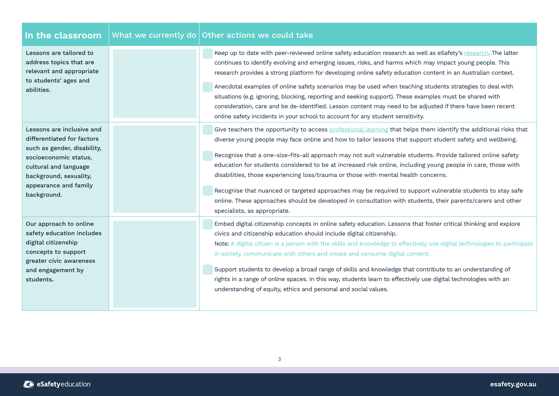| In the classroom                                                                                                                                                                                           | What we currently do Other actions we could take                                                                                                                                                                                                                                                                                                                                                                                                                                                                                                                                                                                                                                                                                                                                                               |
|------------------------------------------------------------------------------------------------------------------------------------------------------------------------------------------------------------|----------------------------------------------------------------------------------------------------------------------------------------------------------------------------------------------------------------------------------------------------------------------------------------------------------------------------------------------------------------------------------------------------------------------------------------------------------------------------------------------------------------------------------------------------------------------------------------------------------------------------------------------------------------------------------------------------------------------------------------------------------------------------------------------------------------|
| Lessons are tailored to<br>address topics that are<br>relevant and appropriate<br>to students' ages and<br>abilities.                                                                                      | Keep up to date with peer-reviewed online safety education research as well as eSafety's research. The latter<br>continues to identify evolving and emerging issues, risks, and harms which may impact young people. This<br>research provides a strong platform for developing online safety education content in an Australian context.<br>Anecdotal examples of online safety scenarios may be used when teaching students strategies to deal with<br>situations (e.g. ignoring, blocking, reporting and seeking support). These examples must be shared with<br>consideration, care and be de-identified. Lesson content may need to be adjusted if there have been recent<br>online safety incidents in your school to account for any student sensitivity.                                               |
| Lessons are inclusive and<br>differentiated for factors<br>such as gender, disability,<br>socioeconomic status,<br>cultural and language<br>background, sexuality,<br>appearance and family<br>background. | Give teachers the opportunity to access professional learning that helps them identify the additional risks that<br>diverse young people may face online and how to tailor lessons that support student safety and wellbeing.<br>Recognise that a one-size-fits-all approach may not suit vulnerable students. Provide tailored online safety<br>education for students considered to be at increased risk online, including young people in care, those with<br>disabilities, those experiencing loss/trauma or those with mental health concerns.<br>Recognise that nuanced or targeted approaches may be required to support vulnerable students to stay safe<br>online. These approaches should be developed in consultation with students, their parents/carers and other<br>specialists, as appropriate. |
| Our approach to online<br>safety education includes<br>digital citizenship<br>concepts to support<br>greater civic awareness<br>and engagement by<br>students.                                             | Embed digital citizenship concepts in online safety education. Lessons that foster critical thinking and explore<br>civics and citizenship education should include digital citizenship.<br>Note: A digital citizen is a person with the skills and knowledge to effectively use digital technologies to participate<br>in society, communicate with others and create and consume digital content.<br>Support students to develop a broad range of skills and knowledge that contribute to an understanding of<br>rights in a range of online spaces. In this way, students learn to effectively use digital technologies with an<br>understanding of equity, ethics and personal and social values.                                                                                                          |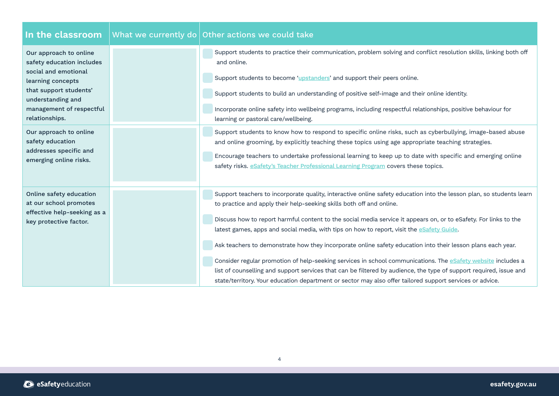| In the classroom                                                                                                                                                                                                        | What we currently do $\vert$ Other actions we could take                                                                                                                                                                                                                                                                                                                                                                                                                                                                                                                                                                                                                                                                                                                                                                                                                               |
|-------------------------------------------------------------------------------------------------------------------------------------------------------------------------------------------------------------------------|----------------------------------------------------------------------------------------------------------------------------------------------------------------------------------------------------------------------------------------------------------------------------------------------------------------------------------------------------------------------------------------------------------------------------------------------------------------------------------------------------------------------------------------------------------------------------------------------------------------------------------------------------------------------------------------------------------------------------------------------------------------------------------------------------------------------------------------------------------------------------------------|
| Our approach to online<br>safety education includes<br>social and emotional<br>learning concepts<br>that support students'<br>understanding and<br>management of respectful<br>relationships.<br>Our approach to online | Support students to practice their communication, problem solving and conflict resolution skills, linking both off<br>and online.<br>Support students to become 'upstanders' and support their peers online.<br>Support students to build an understanding of positive self-image and their online identity.<br>Incorporate online safety into wellbeing programs, including respectful relationships, positive behaviour for<br>learning or pastoral care/wellbeing.<br>Support students to know how to respond to specific online risks, such as cyberbullying, image-based abuse                                                                                                                                                                                                                                                                                                    |
| safety education<br>addresses specific and<br>emerging online risks.                                                                                                                                                    | and online grooming, by explicitly teaching these topics using age appropriate teaching strategies.<br>Encourage teachers to undertake professional learning to keep up to date with specific and emerging online<br>safety risks. eSafety's Teacher Professional Learning Program covers these topics.                                                                                                                                                                                                                                                                                                                                                                                                                                                                                                                                                                                |
| Online safety education<br>at our school promotes<br>effective help-seeking as a<br>key protective factor.                                                                                                              | Support teachers to incorporate quality, interactive online safety education into the lesson plan, so students learn<br>to practice and apply their help-seeking skills both off and online.<br>Discuss how to report harmful content to the social media service it appears on, or to eSafety. For links to the<br>latest games, apps and social media, with tips on how to report, visit the <i>eSafety Guide</i> .<br>Ask teachers to demonstrate how they incorporate online safety education into their lesson plans each year.<br>Consider regular promotion of help-seeking services in school communications. The eSafety website includes a<br>list of counselling and support services that can be filtered by audience, the type of support required, issue and<br>state/territory. Your education department or sector may also offer tailored support services or advice. |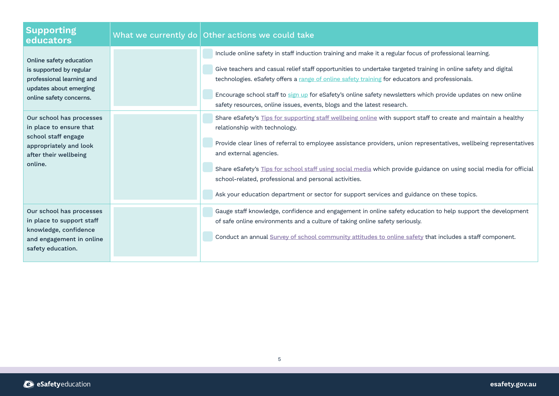| <b>Supporting</b><br>educators                                                                                                           | What we currently do $\vert$ Other actions we could take                                                                                                                                                                                                                                                                                                                                                                                                                                                                                                                     |
|------------------------------------------------------------------------------------------------------------------------------------------|------------------------------------------------------------------------------------------------------------------------------------------------------------------------------------------------------------------------------------------------------------------------------------------------------------------------------------------------------------------------------------------------------------------------------------------------------------------------------------------------------------------------------------------------------------------------------|
| Online safety education<br>is supported by regular<br>professional learning and<br>updates about emerging<br>online safety concerns.     | Include online safety in staff induction training and make it a regular focus of professional learning.<br>Give teachers and casual relief staff opportunities to undertake targeted training in online safety and digital<br>technologies. eSafety offers a range of online safety training for educators and professionals.<br>Encourage school staff to sign up for eSafety's online safety newsletters which provide updates on new online<br>safety resources, online issues, events, blogs and the latest research.                                                    |
| Our school has processes<br>in place to ensure that<br>school staff engage<br>appropriately and look<br>after their wellbeing<br>online. | Share eSafety's Tips for supporting staff wellbeing online with support staff to create and maintain a healthy<br>relationship with technology.<br>Provide clear lines of referral to employee assistance providers, union representatives, wellbeing representatives<br>and external agencies.<br>Share eSafety's Tips for school staff using social media which provide guidance on using social media for official<br>school-related, professional and personal activities.<br>Ask your education department or sector for support services and guidance on these topics. |
| Our school has processes<br>in place to support staff<br>knowledge, confidence<br>and engagement in online<br>safety education.          | Gauge staff knowledge, confidence and engagement in online safety education to help support the development<br>of safe online environments and a culture of taking online safety seriously.<br>Conduct an annual Survey of school community attitudes to online safety that includes a staff component.                                                                                                                                                                                                                                                                      |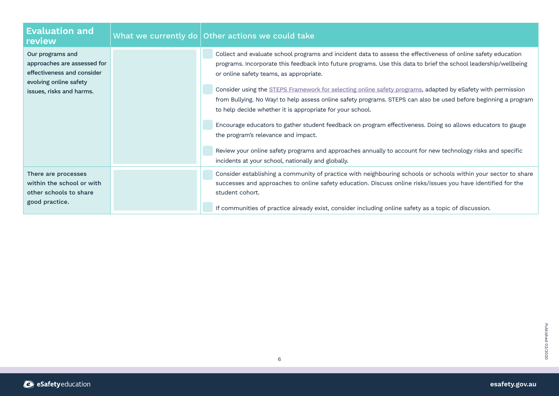| <b>Evaluation and</b><br>review                                                                                                     | What we currently do Other actions we could take                                                                                                                                                                                                                                                                                                                                                                                                                                                                                                                                                                                                                                                                                                                                                                                                                                                       |
|-------------------------------------------------------------------------------------------------------------------------------------|--------------------------------------------------------------------------------------------------------------------------------------------------------------------------------------------------------------------------------------------------------------------------------------------------------------------------------------------------------------------------------------------------------------------------------------------------------------------------------------------------------------------------------------------------------------------------------------------------------------------------------------------------------------------------------------------------------------------------------------------------------------------------------------------------------------------------------------------------------------------------------------------------------|
| Our programs and<br>approaches are assessed for<br>effectiveness and consider<br>evolving online safety<br>issues, risks and harms. | Collect and evaluate school programs and incident data to assess the effectiveness of online safety education<br>programs. Incorporate this feedback into future programs. Use this data to brief the school leadership/wellbeing<br>or online safety teams, as appropriate.<br>Consider using the STEPS Framework for selecting online safety programs, adapted by eSafety with permission<br>from Bullying. No Way! to help assess online safety programs. STEPS can also be used before beginning a program<br>to help decide whether it is appropriate for your school.<br>Encourage educators to gather student feedback on program effectiveness. Doing so allows educators to gauge<br>the program's relevance and impact.<br>Review your online safety programs and approaches annually to account for new technology risks and specific<br>incidents at your school, nationally and globally. |
| There are processes<br>within the school or with<br>other schools to share<br>good practice.                                        | Consider establishing a community of practice with neighbouring schools or schools within your sector to share<br>successes and approaches to online safety education. Discuss online risks/issues you have identified for the<br>student cohort.<br>If communities of practice already exist, consider including online safety as a topic of discussion.                                                                                                                                                                                                                                                                                                                                                                                                                                                                                                                                              |